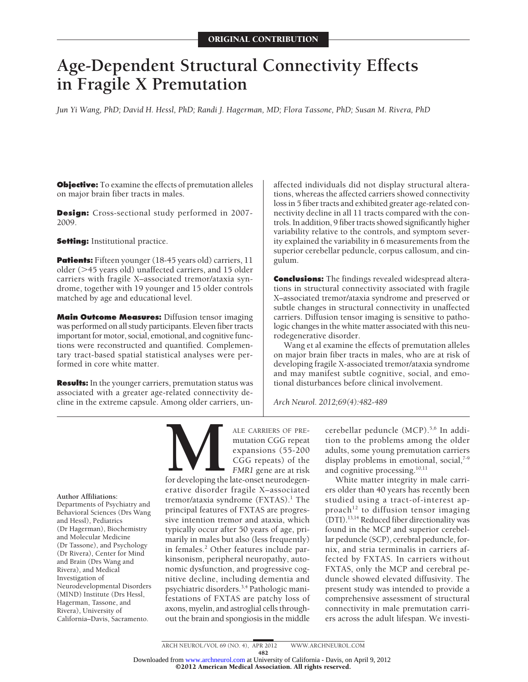# **Age-Dependent Structural Connectivity Effects in Fragile X Premutation**

*Jun Yi Wang, PhD; David H. Hessl, PhD; Randi J. Hagerman, MD; Flora Tassone, PhD; Susan M. Rivera, PhD*

**Objective:** To examine the effects of premutation alleles on major brain fiber tracts in males.

**Design:** Cross-sectional study performed in 2007- 2009.

**Setting:** Institutional practice.

**Patients:** Fifteen younger (18-45 years old) carriers, 11 older (>45 years old) unaffected carriers, and 15 older carriers with fragile X–associated tremor/ataxia syndrome, together with 19 younger and 15 older controls matched by age and educational level.

**Main Outcome Measures:** Diffusion tensor imaging was performed on all study participants. Eleven fiber tracts important for motor, social, emotional, and cognitive functions were reconstructed and quantified. Complementary tract-based spatial statistical analyses were performed in core white matter.

**Results:** In the younger carriers, premutation status was associated with a greater age-related connectivity decline in the extreme capsule. Among older carriers, unaffected individuals did not display structural alterations, whereas the affected carriers showed connectivity loss in 5 fiber tracts and exhibited greater age-related connectivity decline in all 11 tracts compared with the controls. In addition, 9 fiber tracts showed significantly higher variability relative to the controls, and symptom severity explained the variability in 6 measurements from the superior cerebellar peduncle, corpus callosum, and cingulum.

**Conclusions:** The findings revealed widespread alterations in structural connectivity associated with fragile X–associated tremor/ataxia syndrome and preserved or subtle changes in structural connectivity in unaffected carriers. Diffusion tensor imaging is sensitive to pathologic changes in the white matter associated with this neurodegenerative disorder.

Wang et al examine the effects of premutation alleles on major brain fiber tracts in males, who are at risk of developing fragile X-associated tremor/ataxia syndrome and may manifest subtle cognitive, social, and emotional disturbances before clinical involvement.

*Arch Neurol. 2012;69(4):482-489*



ALE CARRIERS OF PRE-<br>
mutation CGG repeat<br>
expansions (55-200<br>
CGG repeats) of the<br>
FMR1 gene are at risk<br>
for developing the late-onset neurodegen-<br>
arisk mutation CGG repeat expansions (55-200 CGG repeats) of the *FMR1* gene are at risk

erative disorder fragile X–associated tremor/ataxia syndrome  $(FXTAS)^{1}$ . The principal features of FXTAS are progressive intention tremor and ataxia, which typically occur after 50 years of age, primarily in males but also (less frequently) in females.<sup>2</sup> Other features include parkinsonism, peripheral neuropathy, autonomic dysfunction, and progressive cognitive decline, including dementia and psychiatric disorders.3,4 Pathologic manifestations of FXTAS are patchy loss of axons, myelin, and astroglial cells throughout the brain and spongiosis in the middle

cerebellar peduncle (MCP).5,6 In addition to the problems among the older adults, some young premutation carriers display problems in emotional, social, $7-9$ and cognitive processing.<sup>10,11</sup>

White matter integrity in male carriers older than 40 years has recently been studied using a tract-of-interest approach<sup>12</sup> to diffusion tensor imaging (DTI).13,14 Reduced fiber directionality was found in the MCP and superior cerebellar peduncle (SCP), cerebral peduncle, fornix, and stria terminalis in carriers affected by FXTAS. In carriers without FXTAS, only the MCP and cerebral peduncle showed elevated diffusivity. The present study was intended to provide a comprehensive assessment of structural connectivity in male premutation carriers across the adult lifespan. We investi-

## **Author Affiliations:**

Departments of Psychiatry and Behavioral Sciences (Drs Wang and Hessl), Pediatrics (Dr Hagerman), Biochemistry and Molecular Medicine (Dr Tassone), and Psychology (Dr Rivera), Center for Mind and Brain (Drs Wang and Rivera), and Medical Investigation of Neurodevelopmental Disorders (MIND) Institute (Drs Hessl, Hagerman, Tassone, and Rivera), University of California–Davis, Sacramento.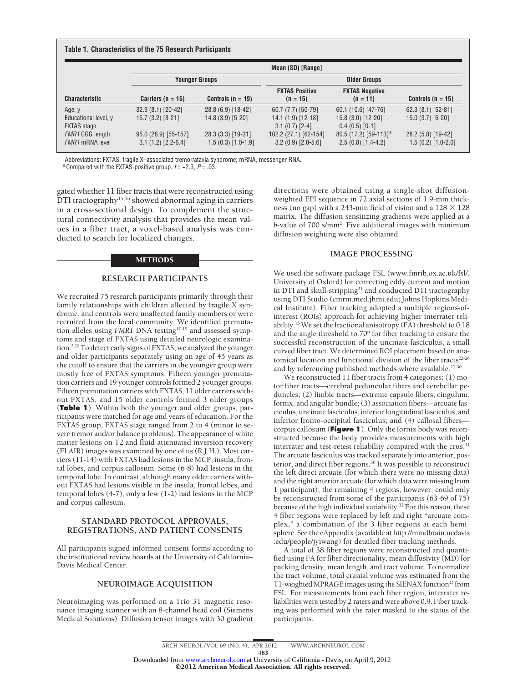| <b>Characteristic</b>                      | Mean (SD) [Range]                           |                                           |                                              |                                                          |                                           |  |  |  |
|--------------------------------------------|---------------------------------------------|-------------------------------------------|----------------------------------------------|----------------------------------------------------------|-------------------------------------------|--|--|--|
|                                            | <b>Younger Groups</b>                       |                                           | <b>Older Groups</b>                          |                                                          |                                           |  |  |  |
|                                            | Carriers ( $n = 15$ )                       | Controls $(n = 19)$                       | <b>FXTAS Positive</b><br>$(n = 15)$          | <b>FXTAS Negative</b><br>$(n = 11)$                      | Controls $(n = 15)$                       |  |  |  |
| Age, y                                     | 32.9 (8.1) [20-42]                          | 28.8 (6.9) [18-42]                        | 60.7 (7.7) [50-79]                           | 60.1 (10.6) [47-76]                                      | $62.3(8.1)[52-81]$                        |  |  |  |
| Educational level, y<br><b>FXTAS</b> stage | $15.7(3.2)[8-21]$                           | $14.8(3.9)$ [5-20]                        | 14.1 (1.9) [12-18]<br>$3.1(0.7)[2-4]$        | 15.8 (3.0) [12-20]<br>$0.4(0.5)[0-1]$                    | $15.0(3.7)[6-20]$                         |  |  |  |
| <b>FMR1 CGG length</b><br>FMR1 mRNA level  | 95.0 (28.9) [55-157]<br>$3.1(1.2)[2.2-6.4]$ | 28.3 (3.3) [19-31]<br>$1.5(0.3)[1.0-1.9]$ | 102.2 (27.1) [62-154]<br>$3.2(0.9)[2.0-5.6]$ | 80.5 (17.2) [59-113] <sup>a</sup><br>$2.5(0.8)[1.4-4.2]$ | 28.2 (5.8) [19-42]<br>$1.5(0.2)[1.0-2.0]$ |  |  |  |

Abbreviations: FXTAS, fragile X–associated tremor/ataxia syndrome; mRNA, messenger RNA.

aCompared with the FXTAS-positive group, *t* = −2.3, *P* = .03.

gated whether 11 fiber tracts that were reconstructed using DTI tractography<sup>15,16</sup> showed abnormal aging in carriers in a cross-sectional design. To complement the structural connectivity analysis that provides the mean values in a fiber tract, a voxel-based analysis was conducted to search for localized changes.

### METHODS

## **RESEARCH PARTICIPANTS**

We recruited 75 research participants primarily through their family relationships with children affected by fragile X syndrome, and controls were unaffected family members or were recruited from the local community. We identified premutation alleles using *FMR1* DNA testing<sup>17-19</sup> and assessed symptoms and stage of FXTAS using detailed neurologic examination.3,20 To detect early signs of FXTAS, we analyzed the younger and older participants separately using an age of 45 years as the cutoff to ensure that the carriers in the younger group were mostly free of FXTAS symptoms. Fifteen younger premutation carriers and 19 younger controls formed 2 younger groups. Fifteen premutation carriers with FXTAS, 11 older carriers without FXTAS, and 15 older controls formed 3 older groups (**Table 1**). Within both the younger and older groups, participants were matched for age and years of education. For the FXTAS group, FXTAS stage ranged from 2 to 4 (minor to severe tremor and/or balance problems). The appearance of white matter lesions on T2 and fluid-attenuated inversion recovery (FLAIR) images was examined by one of us (R.J.H.). Most carriers (11-14) with FXTAS had lesions in the MCP, insula, frontal lobes, and corpus callosum. Some (6-8) had lesions in the temporal lobe. In contrast, although many older carriers without FXTAS had lesions visible in the insula, frontal lobes, and temporal lobes (4-7), only a few (1-2) had lesions in the MCP and corpus callosum.

## **STANDARD PROTOCOL APPROVALS, REGISTRATIONS, AND PATIENT CONSENTS**

All participants signed informed consent forms according to the institutional review boards at the University of California– Davis Medical Center.

## **NEUROIMAGE ACQUISITION**

Neuroimaging was performed on a Trio 3T magnetic resonance imaging scanner with an 8-channel head coil (Siemens Medical Solutions). Diffusion tensor images with 30 gradient directions were obtained using a single-shot diffusionweighted EPI sequence in 72 axial sections of 1.9-mm thickness (no gap) with a 243-mm field of vision and a  $128 \times 128$ matrix. The diffusion sensitizing gradients were applied at a *b*-value of 700 s/mm2 . Five additional images with minimum diffusion weighting were also obtained.

#### **IMAGE PROCESSING**

We used the software package FSL (www.fmrib.ox.ac.uk/fsl/, University of Oxford) for correcting eddy current and motion in DTI and skull-stripping<sup>21</sup> and conducted DTI tractography using DTI Studio (cmrm.med.jhmi.edu; Johns Hopkins Medical Institute). Fiber tracking adopted a multiple regions-ofinterest (ROIs) approach for achieving higher interrater reliability.<sup>15</sup> We set the fractional anisotropy (FA) threshold to  $0.18$ and the angle threshold to 70° for fiber tracking to ensure the successful reconstruction of the uncinate fasciculus, a small curved fiber tract. We determined ROI placement based on anatomical location and functional division of the fiber tracts<sup>22-26</sup> and by referencing published methods where available.  $^{27\cdot 30}$ 

We reconstructed 11 fiber tracts from 4 categories: (1) motor fiber tracts—cerebral peduncular fibers and cerebellar peduncles; (2) limbic tracts—extreme capsule fibers, cingulum, fornix, and angular bundle; (3) association fibers—arcuate fasciculus, uncinate fasciculus, inferior longitudinal fasciculus, and inferior fronto-occipital fasciculus; and (4) callosal fibers corpus callosum (**Figure 1**). Only the fornix body was reconstructed because the body provides measurements with high interrater and test-retest reliability compared with the crus.<sup>31</sup> The arcuate fasciculus was tracked separately into anterior, posterior, and direct fiber regions.30 It was possible to reconstruct the left direct arcuate (for which there were no missing data) and the right anterior arcuate (for which data were missing from 1 participant); the remaining 4 regions, however, could only be reconstructed from some of the participants (63-69 of 75) because of the high individual variability.32 For this reason, these 4 fiber regions were replaced by left and right "arcuate complex," a combination of the 3 fiber regions at each hemisphere. See the eAppendix (available at http://mindbrain.ucdavis .edu/people/jyiwang) for detailed fiber tracking methods.

A total of 38 fiber regions were reconstructed and quantified using FA for fiber directionality, mean diffusivity (MD) for packing density, mean length, and tract volume. To normalize the tract volume, total cranial volume was estimated from the T1-weighted MPRAGE images using the SIENAX function<sup>33</sup> from FSL. For measurements from each fiber region, interrater reliabilities were tested by 2 raters and were above 0.9. Fiber tracking was performed with the rater masked to the status of the participants.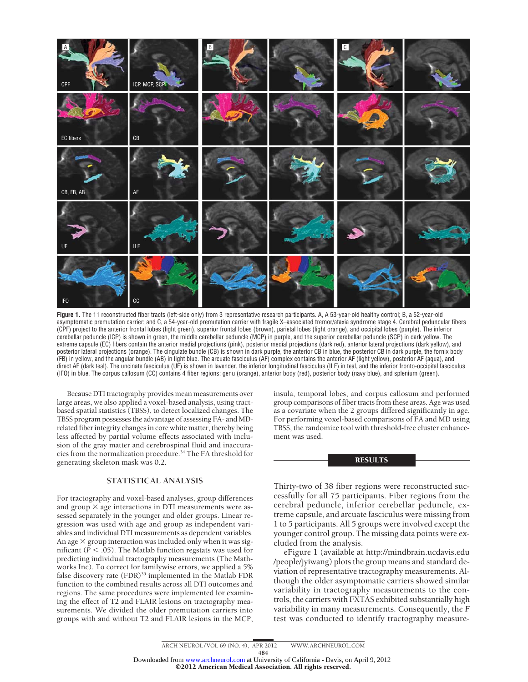

**Figure 1.** The 11 reconstructed fiber tracts (left-side only) from 3 representative research participants. A, A 53-year-old healthy control; B, a 52-year-old asymptomatic premutation carrier; and C, a 54-year-old premutation carrier with fragile X–associated tremor/ataxia syndrome stage 4. Cerebral peduncular fibers (CPF) project to the anterior frontal lobes (light green), superior frontal lobes (brown), parietal lobes (light orange), and occipital lobes (purple). The inferior cerebellar peduncle (ICP) is shown in green, the middle cerebellar peduncle (MCP) in purple, and the superior cerebellar peduncle (SCP) in dark yellow. The extreme capsule (EC) fibers contain the anterior medial projections (pink), posterior medial projections (dark red), anterior lateral projections (dark yellow), and posterior lateral projections (orange). The cingulate bundle (CB) is shown in dark purple, the anterior CB in blue, the posterior CB in dark purple, the fornix body (FB) in yellow, and the angular bundle (AB) in light blue. The arcuate fasciculus (AF) complex contains the anterior AF (light yellow), posterior AF (aqua), and direct AF (dark teal). The uncinate fasciculus (UF) is shown in lavender, the inferior longitudinal fasciculus (ILF) in teal, and the inferior fronto-occipital fasciculus (IFO) in blue. The corpus callosum (CC) contains 4 fiber regions: genu (orange), anterior body (red), posterior body (navy blue), and splenium (green).

Because DTI tractography provides mean measurements over large areas, we also applied a voxel-based analysis, using tractbased spatial statistics (TBSS), to detect localized changes. The TBSS program possesses the advantage of assessing FA- and MDrelated fiber integrity changes in core white matter, thereby being less affected by partial volume effects associated with inclusion of the gray matter and cerebrospinal fluid and inaccuracies from the normalization procedure.34 The FA threshold for generating skeleton mask was 0.2.

## **STATISTICAL ANALYSIS**

For tractography and voxel-based analyses, group differences and group  $\times$  age interactions in DTI measurements were assessed separately in the younger and older groups. Linear regression was used with age and group as independent variables and individual DTI measurements as dependent variables. An age  $\times$  group interaction was included only when it was significant ( $P < .05$ ). The Matlab function regstats was used for predicting individual tractography measurements (The Mathworks Inc). To correct for familywise errors, we applied a 5% false discovery rate (FDR)<sup>35</sup> implemented in the Matlab FDR function to the combined results across all DTI outcomes and regions. The same procedures were implemented for examining the effect of T2 and FLAIR lesions on tractography measurements. We divided the older premutation carriers into groups with and without T2 and FLAIR lesions in the MCP,

insula, temporal lobes, and corpus callosum and performed group comparisons of fiber tracts from these areas. Age was used as a covariate when the 2 groups differed significantly in age. For performing voxel-based comparisons of FA and MD using TBSS, the randomize tool with threshold-free cluster enhancement was used.

## **RESULTS**

Thirty-two of 38 fiber regions were reconstructed successfully for all 75 participants. Fiber regions from the cerebral peduncle, inferior cerebellar peduncle, extreme capsule, and arcuate fasciculus were missing from 1 to 5 participants. All 5 groups were involved except the younger control group. The missing data points were excluded from the analysis.

eFigure 1 (available at http://mindbrain.ucdavis.edu /people/jyiwang) plots the group means and standard deviation of representative tractography measurements. Although the older asymptomatic carriers showed similar variability in tractography measurements to the controls, the carriers with FXTAS exhibited substantially high variability in many measurements. Consequently, the *F* test was conducted to identify tractography measure-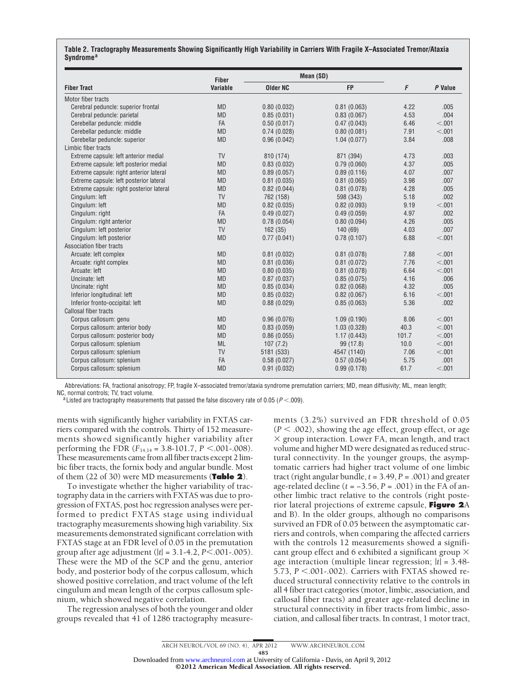### **Table 2. Tractography Measurements Showing Significantly High Variability in Carriers With Fragile X–Associated Tremor/Ataxia Syndrome<sup>a</sup>**

|                                          | <b>Fiber</b>    | Mean (SD)       |             |       |         |
|------------------------------------------|-----------------|-----------------|-------------|-------|---------|
| <b>Fiber Tract</b>                       | <b>Variable</b> | <b>Older NC</b> | <b>FP</b>   | F     | P Value |
| Motor fiber tracts                       |                 |                 |             |       |         |
| Cerebral peduncle: superior frontal      | <b>MD</b>       | 0.80(0.032)     | 0.81(0.063) | 4.22  | .005    |
| Cerebral peduncle: parietal              | <b>MD</b>       | 0.85(0.031)     | 0.83(0.067) | 4.53  | .004    |
| Cerebellar peduncle: middle              | FA              | 0.50(0.017)     | 0.47(0.043) | 6.46  | < .001  |
| Cerebellar peduncle: middle              | <b>MD</b>       | 0.74(0.028)     | 0.80(0.081) | 7.91  | < .001  |
| Cerebellar peduncle: superior            | <b>MD</b>       | 0.96(0.042)     | 1.04(0.077) | 3.84  | .008    |
| Limbic fiber tracts                      |                 |                 |             |       |         |
| Extreme capsule: left anterior medial    | <b>TV</b>       | 810 (174)       | 871 (394)   | 4.73  | .003    |
| Extreme capsule: left posterior medial   | <b>MD</b>       | 0.83(0.032)     | 0.79(0.060) | 4.37  | .005    |
| Extreme capsule: right anterior lateral  | <b>MD</b>       | 0.89(0.057)     | 0.89(0.116) | 4.07  | .007    |
| Extreme capsule: left posterior lateral  | <b>MD</b>       | 0.81(0.035)     | 0.81(0.065) | 3.98  | .007    |
| Extreme capsule: right posterior lateral | <b>MD</b>       | 0.82(0.044)     | 0.81(0.078) | 4.28  | .005    |
| Cingulum: left                           | <b>TV</b>       | 762 (158)       | 598 (343)   | 5.18  | .002    |
| Cingulum: left                           | <b>MD</b>       | 0.82(0.035)     | 0.82(0.093) | 9.19  | < .001  |
| Cingulum: right                          | <b>FA</b>       | 0.49(0.027)     | 0.49(0.059) | 4.97  | .002    |
| Cingulum: right anterior                 | <b>MD</b>       | 0.78(0.054)     | 0.80(0.094) | 4.26  | .005    |
| Cingulum: left posterior                 | <b>TV</b>       | 162(35)         | 140 (69)    | 4.03  | .007    |
| Cingulum: left posterior                 | <b>MD</b>       | 0.77(0.041)     | 0.78(0.107) | 6.88  | < .001  |
| Association fiber tracts                 |                 |                 |             |       |         |
| Arcuate: left complex                    | <b>MD</b>       | 0.81(0.032)     | 0.81(0.078) | 7.88  | < 0.001 |
| Arcuate: right complex                   | <b>MD</b>       | 0.81(0.036)     | 0.81(0.072) | 7.76  | < .001  |
| Arcuate: left                            | <b>MD</b>       | 0.80(0.035)     | 0.81(0.078) | 6.64  | < .001  |
| Uncinate: left                           | <b>MD</b>       | 0.87(0.037)     | 0.85(0.075) | 4.16  | .006    |
| Uncinate: right                          | <b>MD</b>       | 0.85(0.034)     | 0.82(0.068) | 4.32  | .005    |
| Inferior longitudinal: left              | <b>MD</b>       | 0.85(0.032)     | 0.82(0.067) | 6.16  | < .001  |
| Inferior fronto-occipital: left          | <b>MD</b>       | 0.88(0.029)     | 0.85(0.063) | 5.36  | .002    |
| Callosal fiber tracts                    |                 |                 |             |       |         |
| Corpus callosum: genu                    | <b>MD</b>       | 0.96(0.076)     | 1.09(0.190) | 8.06  | < .001  |
| Corpus callosum: anterior body           | <b>MD</b>       | 0.83(0.059)     | 1.03(0.328) | 40.3  | < .001  |
| Corpus callosum: posterior body          | <b>MD</b>       | 0.86(0.055)     | 1.17(0.443) | 101.7 | < .001  |
| Corpus callosum: splenium                | <b>ML</b>       | 107(7.2)        | 99 (17.8)   | 10.0  | < .001  |
| Corpus callosum: splenium                | <b>TV</b>       | 5181 (533)      | 4547 (1140) | 7.06  | < .001  |
| Corpus callosum: splenium                | FA              | 0.58(0.027)     | 0.57(0.054) | 5.75  | .001    |
| Corpus callosum: splenium                | <b>MD</b>       | 0.91(0.032)     | 0.99(0.178) | 61.7  | < .001  |
|                                          |                 |                 |             |       |         |

Abbreviations: FA, fractional anisotropy; FP, fragile X–associated tremor/ataxia syndrome premutation carriers; MD, mean diffusivity; ML, mean length;

<sup>a</sup> Listed are tractography measurements that passed the false discovery rate of 0.05 ( $P$  <.009).

ments with significantly higher variability in FXTAS carriers compared with the controls. Thirty of 152 measurements showed significantly higher variability after performing the FDR  $(F_{14,14} = 3.8 - 101.7, P < .001 - .008)$ . These measurements came from all fiber tracts except 2 limbic fiber tracts, the fornix body and angular bundle. Most of them (22 of 30) were MD measurements (**Table 2**).

To investigate whether the higher variability of tractography data in the carriers with FXTAS was due to progression of FXTAS, post hoc regression analyses were performed to predict FXTAS stage using individual tractography measurements showing high variability. Six measurements demonstrated significant correlation with FXTAS stage at an FDR level of 0.05 in the premutation group after age adjustment  $(|t| = 3.1 - 4.2, P < .001 - .005)$ . These were the MD of the SCP and the genu, anterior body, and posterior body of the corpus callosum, which showed positive correlation, and tract volume of the left cingulum and mean length of the corpus callosum splenium, which showed negative correlation.

The regression analyses of both the younger and older groups revealed that 41 of 1286 tractography measure-

ments (3.2%) survived an FDR threshold of 0.05  $(P < .002)$ , showing the age effect, group effect, or age  $\times$  group interaction. Lower FA, mean length, and tract volume and higher MD were designated as reduced structural connectivity. In the younger groups, the asymptomatic carriers had higher tract volume of one limbic tract (right angular bundle,  $t = 3.49$ ,  $P = .001$ ) and greater age-related decline (*t* = −3.56, *P* = .001) in the FA of another limbic tract relative to the controls (right posterior lateral projections of extreme capsule, **Figure 2**A and B). In the older groups, although no comparisons survived an FDR of 0.05 between the asymptomatic carriers and controls, when comparing the affected carriers with the controls 12 measurements showed a significant group effect and 6 exhibited a significant group  $\times$ age interaction (multiple linear regression; |*t*| = 3.48- 5.73, *P* <.001-.002). Carriers with FXTAS showed reduced structural connectivity relative to the controls in all 4 fiber tract categories (motor, limbic, association, and callosal fiber tracts) and greater age-related decline in structural connectivity in fiber tracts from limbic, association, and callosal fiber tracts. In contrast, 1 motor tract,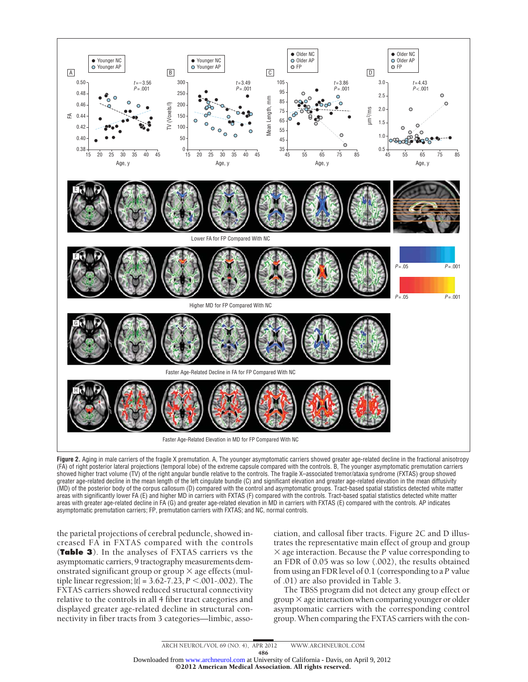

**Figure 2.** Aging in male carriers of the fragile X premutation. A, The younger asymptomatic carriers showed greater age-related decline in the fractional anisotropy (FA) of right posterior lateral projections (temporal lobe) of the extreme capsule compared with the controls. B, The younger asymptomatic premutation carriers showed higher tract volume (TV) of the right angular bundle relative to the controls. The fragile X–associated tremor/ataxia syndrome (FXTAS) group showed greater age-related decline in the mean length of the left cingulate bundle (C) and significant elevation and greater age-related elevation in the mean diffusivity (MD) of the posterior body of the corpus callosum (D) compared with the control and asymptomatic groups. Tract-based spatial statistics detected white matter areas with significantly lower FA (E) and higher MD in carriers with FXTAS (F) compared with the controls. Tract-based spatial statistics detected white matter areas with greater age-related decline in FA (G) and greater age-related elevation in MD in carriers with FXTAS (E) compared with the controls. AP indicates asymptomatic premutation carriers; FP, premutation carriers with FXTAS; and NC, normal controls.

the parietal projections of cerebral peduncle, showed increased FA in FXTAS compared with the controls (**Table 3**). In the analyses of FXTAS carriers vs the asymptomatic carriers, 9 tractography measurements demonstrated significant group or group  $\times$  age effects (multiple linear regression;  $|t| = 3.62 - 7.23$ ,  $P < .001 - .002$ ). The FXTAS carriers showed reduced structural connectivity relative to the controls in all 4 fiber tract categories and displayed greater age-related decline in structural connectivity in fiber tracts from 3 categories—limbic, association, and callosal fiber tracts. Figure 2C and D illustrates the representative main effect of group and group  $\times$  age interaction. Because the *P* value corresponding to an FDR of 0.05 was so low (.002), the results obtained from using an FDR level of 0.1 (corresponding to a *P* value of .01) are also provided in Table 3.

The TBSS program did not detect any group effect or group  $\times$  age interaction when comparing younger or older asymptomatic carriers with the corresponding control group. When comparing the FXTAS carriers with the con-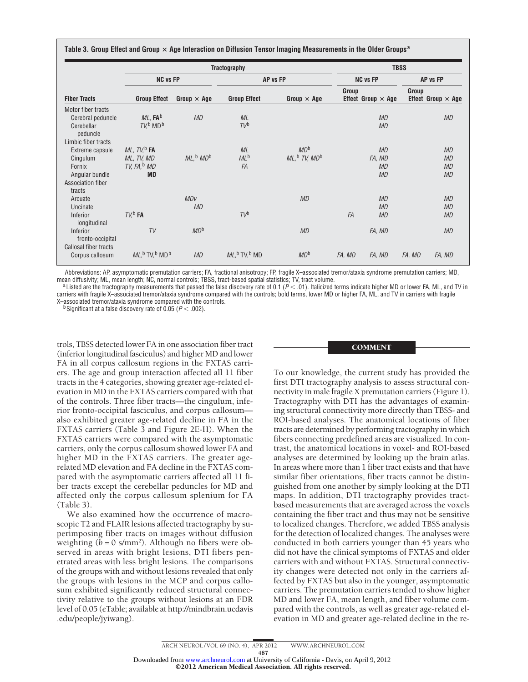| <b>Fiber Tracts</b>                                                                                 | <b>Tractography</b>                                                               |                                    |                                    |                                         | <b>TBSS</b>     |                                               |          |                                                  |
|-----------------------------------------------------------------------------------------------------|-----------------------------------------------------------------------------------|------------------------------------|------------------------------------|-----------------------------------------|-----------------|-----------------------------------------------|----------|--------------------------------------------------|
|                                                                                                     | <b>NC vs FP</b>                                                                   |                                    | AP vs FP                           |                                         | <b>NC vs FP</b> |                                               | AP vs FP |                                                  |
|                                                                                                     | <b>Group Effect</b>                                                               | Group $\times$ Age                 | <b>Group Effect</b>                | Group $\times$ Age                      | Group           | Effect Group $\times$ Age                     | Group    | Effect Group $\times$ Age                        |
| Motor fiber tracts<br>Cerebral peduncle<br>Cerebellar<br>peduncle                                   | ML. FA <sup>b</sup><br>$TV$ <sup>b</sup> MD <sup>b</sup>                          | <b>MD</b>                          | ML<br>TV <sup>b</sup>              |                                         |                 | <b>MD</b><br><b>MD</b>                        |          | <b>MD</b>                                        |
| Limbic fiber tracts<br>Extreme capsule<br>Cingulum<br>Fornix<br>Angular bundle<br>Association fiber | $ML$ , $TV$ <sup>b</sup> FA<br>ML, TV, MD<br>TV, FA, <sup>b</sup> MD<br><b>MD</b> | $ML$ , $b$ $MDb$                   | ML<br>ML <sub>p</sub><br><b>FA</b> | MD <sup>b</sup><br>$ML$ , $b$ TV, $MDb$ |                 | <b>MD</b><br>FA, MD<br><b>MD</b><br><b>MD</b> |          | <b>MD</b><br><b>MD</b><br><b>MD</b><br><b>MD</b> |
| tracts<br>Arcuate<br>Uncinate<br>Inferior<br>longitudinal                                           | $TV$ <sup>b</sup> FA                                                              | <b>MD<sub>V</sub></b><br><b>MD</b> | $TV^b$                             | <b>MD</b>                               | <b>FA</b>       | <b>MD</b><br><b>MD</b><br><b>MD</b>           |          | <b>MD</b><br><b>MD</b><br><b>MD</b>              |
| Inferior<br>fronto-occipital                                                                        | TV                                                                                | MD <sup>b</sup>                    |                                    | <b>MD</b>                               |                 | FA, MD                                        |          | <b>MD</b>                                        |
| Callosal fiber tracts<br>Corpus callosum                                                            | $ML$ , $b$ TV, $b$ MD $b$                                                         | <b>MD</b>                          | $ML$ , $b$ TV, $b$ MD              | MD <sup>b</sup>                         | FA, MD          | FA, MD                                        | FA, MD   | FA, MD                                           |

Abbreviations: AP, asymptomatic premutation carriers; FA, fractional anisotropy; FP, fragile X–associated tremor/ataxia syndrome premutation carriers; MD,

<sup>a</sup> Listed are the tractography measurements that passed the false discovery rate of 0.1 ( $P < .01$ ). Italicized terms indicate higher MD or lower FA, ML, and TV in carriers with fragile X–associated tremor/ataxia syndrome compared with the controls; bold terms, lower MD or higher FA, ML, and TV in carriers with fragile

X–associated tremor/ataxia syndrome compared with the controls.<br> $\frac{b \text{ Significant at a false discovery rate of 0.05 } (P < .002)}$ .

trols, TBSS detected lower FA in one association fiber tract (inferior longitudinal fasciculus) and higher MD and lower FA in all corpus callosum regions in the FXTAS carriers. The age and group interaction affected all 11 fiber tracts in the 4 categories, showing greater age-related elevation in MD in the FXTAS carriers compared with that of the controls. Three fiber tracts—the cingulum, inferior fronto-occipital fasciculus, and corpus callosum also exhibited greater age-related decline in FA in the FXTAS carriers (Table 3 and Figure 2E-H). When the FXTAS carriers were compared with the asymptomatic carriers, only the corpus callosum showed lower FA and higher MD in the FXTAS carriers. The greater agerelated MD elevation and FA decline in the FXTAS compared with the asymptomatic carriers affected all 11 fiber tracts except the cerebellar peduncles for MD and affected only the corpus callosum splenium for FA (Table 3).

We also examined how the occurrence of macroscopic T2 and FLAIR lesions affected tractography by superimposing fiber tracts on images without diffusion weighting (*b* = 0 s/mm<sup>2</sup>). Although no fibers were observed in areas with bright lesions, DTI fibers penetrated areas with less bright lesions. The comparisons of the groups with and without lesions revealed that only the groups with lesions in the MCP and corpus callosum exhibited significantly reduced structural connectivity relative to the groups without lesions at an FDR level of 0.05 (eTable; available at http://mindbrain.ucdavis .edu/people/jyiwang).

#### COMMENT

To our knowledge, the current study has provided the first DTI tractography analysis to assess structural connectivity in male fragile X premutation carriers (Figure 1). Tractography with DTI has the advantages of examining structural connectivity more directly than TBSS- and ROI-based analyses. The anatomical locations of fiber tracts are determined by performing tractography in which fibers connecting predefined areas are visualized. In contrast, the anatomical locations in voxel- and ROI-based analyses are determined by looking up the brain atlas. In areas where more than 1 fiber tract exists and that have similar fiber orientations, fiber tracts cannot be distinguished from one another by simply looking at the DTI maps. In addition, DTI tractography provides tractbased measurements that are averaged across the voxels containing the fiber tract and thus may not be sensitive to localized changes. Therefore, we added TBSS analysis for the detection of localized changes. The analyses were conducted in both carriers younger than 45 years who did not have the clinical symptoms of FXTAS and older carriers with and without FXTAS. Structural connectivity changes were detected not only in the carriers affected by FXTAS but also in the younger, asymptomatic carriers. The premutation carriers tended to show higher MD and lower FA, mean length, and fiber volume compared with the controls, as well as greater age-related elevation in MD and greater age-related decline in the re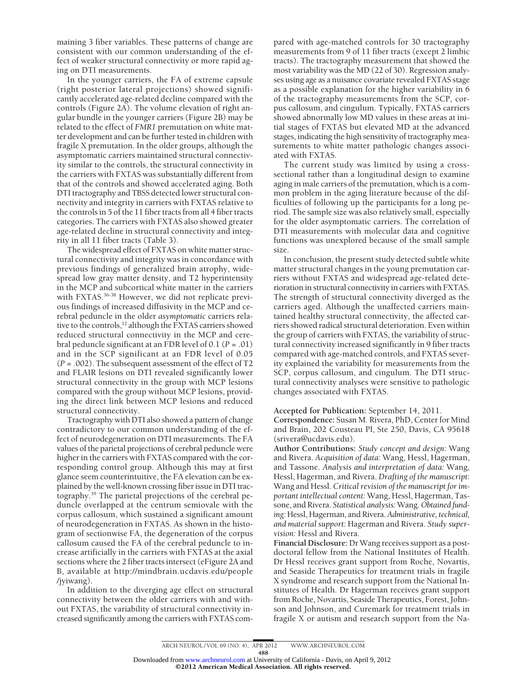maining 3 fiber variables. These patterns of change are consistent with our common understanding of the effect of weaker structural connectivity or more rapid aging on DTI measurements.

In the younger carriers, the FA of extreme capsule (right posterior lateral projections) showed significantly accelerated age-related decline compared with the controls (Figure 2A). The volume elevation of right angular bundle in the younger carriers (Figure 2B) may be related to the effect of *FMR1* premutation on white matter development and can be further tested in children with fragile X premutation. In the older groups, although the asymptomatic carriers maintained structural connectivity similar to the controls, the structural connectivity in the carriers with FXTAS was substantially different from that of the controls and showed accelerated aging. Both DTI tractography and TBSS detected lower structural connectivity and integrity in carriers with FXTAS relative to the controls in 5 of the 11 fiber tracts from all 4 fiber tracts categories. The carriers with FXTAS also showed greater age-related decline in structural connectivity and integrity in all 11 fiber tracts (Table 3).

The widespread effect of FXTAS on white matter structural connectivity and integrity was in concordance with previous findings of generalized brain atrophy, widespread low gray matter density, and T2 hyperintensity in the MCP and subcortical white matter in the carriers with FXTAS.<sup>36-38</sup> However, we did not replicate previous findings of increased diffusivity in the MCP and cerebral peduncle in the older *asymptomatic* carriers relative to the controls,<sup>12</sup> although the FXTAS carriers showed reduced structural connectivity in the MCP and cerebral peduncle significant at an FDR level of 0.1 (*P* = .01) and in the SCP significant at an FDR level of 0.05 (*P* = .002). The subsequent assessment of the effect of T2 and FLAIR lesions on DTI revealed significantly lower structural connectivity in the group with MCP lesions compared with the group without MCP lesions, providing the direct link between MCP lesions and reduced structural connectivity.

Tractography with DTI also showed a pattern of change contradictory to our common understanding of the effect of neurodegeneration on DTI measurements. The FA values of the parietal projections of cerebral peduncle were higher in the carriers with FXTAS compared with the corresponding control group. Although this may at first glance seem counterintuitive, the FA elevation can be explained by the well-known crossing fiber issue in DTI tractography.39 The parietal projections of the cerebral peduncle overlapped at the centrum semiovale with the corpus callosum, which sustained a significant amount of neurodegeneration in FXTAS. As shown in the histogram of sectionwise FA, the degeneration of the corpus callosum caused the FA of the cerebral peduncle to increase artificially in the carriers with FXTAS at the axial sections where the 2 fiber tracts intersect (eFigure 2A and B, available at http://mindbrain.ucdavis.edu/people /jyiwang).

In addition to the diverging age effect on structural connectivity between the older carriers with and without FXTAS, the variability of structural connectivity increased significantly among the carriers with FXTAS compared with age-matched controls for 30 tractography measurements from 9 of 11 fiber tracts (except 2 limbic tracts). The tractography measurement that showed the most variability was the MD (22 of 30). Regression analyses using age as a nuisance covariate revealed FXTAS stage as a possible explanation for the higher variability in 6 of the tractography measurements from the SCP, corpus callosum, and cingulum. Typically, FXTAS carriers showed abnormally low MD values in these areas at initial stages of FXTAS but elevated MD at the advanced stages, indicating the high sensitivity of tractography measurements to white matter pathologic changes associated with FXTAS.

The current study was limited by using a crosssectional rather than a longitudinal design to examine aging in male carriers of the premutation, which is a common problem in the aging literature because of the difficulties of following up the participants for a long period. The sample size was also relatively small, especially for the older asymptomatic carriers. The correlation of DTI measurements with molecular data and cognitive functions was unexplored because of the small sample size.

In conclusion, the present study detected subtle white matter structural changes in the young premutation carriers without FXTAS and widespread age-related deterioration in structural connectivity in carriers with FXTAS. The strength of structural connectivity diverged as the carriers aged. Although the unaffected carriers maintained healthy structural connectivity, the affected carriers showed radical structural deterioration. Even within the group of carriers with FXTAS, the variability of structural connectivity increased significantly in 9 fiber tracts compared with age-matched controls, and FXTAS severity explained the variability for measurements from the SCP, corpus callosum, and cingulum. The DTI structural connectivity analyses were sensitive to pathologic changes associated with FXTAS.

#### **Accepted for Publication:** September 14, 2011.

**Correspondence:** Susan M. Rivera, PhD, Center for Mind and Brain, 202 Cousteau Pl, Ste 250, Davis, CA 95618 (srivera@ucdavis.edu).

**Author Contributions:** *Study concept and design:* Wang and Rivera. *Acquisition of data:* Wang, Hessl, Hagerman, and Tassone. *Analysis and interpretation of data:* Wang, Hessl, Hagerman, and Rivera. *Drafting of the manuscript:* Wang and Hessl. *Critical revision of the manuscript for important intellectual content:* Wang, Hessl, Hagerman, Tassone, and Rivera. *Statistical analysis:*Wang.*Obtained funding:* Hessl, Hagerman, and Rivera.*Administrative, technical, and material support:* Hagerman and Rivera. *Study supervision:* Hessl and Rivera.

**Financial Disclosure:** Dr Wang receives support as a postdoctoral fellow from the National Institutes of Health. Dr Hessl receives grant support from Roche, Novartis, and Seaside Therapeutics for treatment trials in fragile X syndrome and research support from the National Institutes of Health. Dr Hagerman receives grant support from Roche, Novartis, Seaside Therapeutics, Forest, Johnson and Johnson, and Curemark for treatment trials in fragile X or autism and research support from the Na